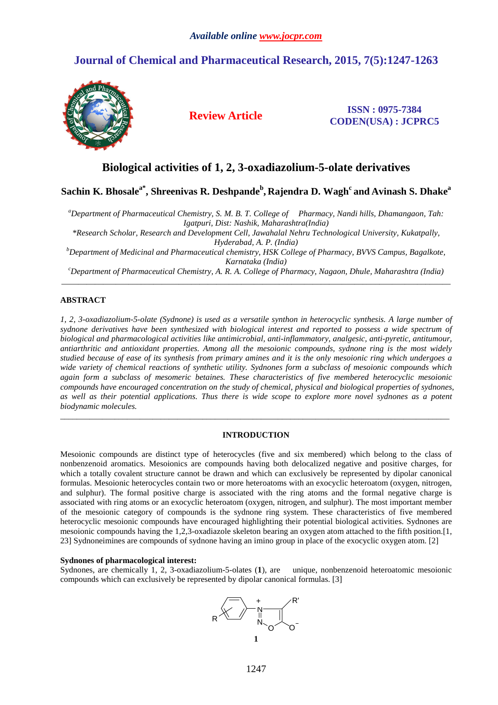# **Journal of Chemical and Pharmaceutical Research, 2015, 7(5):1247-1263**



**Review Article ISSN : 0975-7384 CODEN(USA) : JCPRC5**

# **Biological activities of 1, 2, 3-oxadiazolium-5-olate derivatives**

**Sachin K. Bhosalea\*, Shreenivas R. Deshpande<sup>b</sup> , Rajendra D. Wagh<sup>c</sup> and Avinash S. Dhake<sup>a</sup>**

*<sup>a</sup>Department of Pharmaceutical Chemistry, S. M. B. T. College of Pharmacy, Nandi hills, Dhamangaon, Tah: Igatpuri, Dist: Nashik, Maharashtra(India)* 

*\*Research Scholar, Research and Development Cell, Jawahalal Nehru Technological University, Kukatpally, Hyderabad, A. P. (India)* 

*<sup>b</sup>Department of Medicinal and Pharmaceutical chemistry, HSK College of Pharmacy, BVVS Campus, Bagalkote, Karnataka (India)* 

*<sup>c</sup>Department of Pharmaceutical Chemistry, A. R. A. College of Pharmacy, Nagaon, Dhule, Maharashtra (India)*  \_\_\_\_\_\_\_\_\_\_\_\_\_\_\_\_\_\_\_\_\_\_\_\_\_\_\_\_\_\_\_\_\_\_\_\_\_\_\_\_\_\_\_\_\_\_\_\_\_\_\_\_\_\_\_\_\_\_\_\_\_\_\_\_\_\_\_\_\_\_\_\_\_\_\_\_\_\_\_\_\_\_\_\_\_\_\_\_\_\_\_\_\_

# **ABSTRACT**

*1, 2, 3-oxadiazolium-5-olate (Sydnone) is used as a versatile synthon in heterocyclic synthesis. A large number of sydnone derivatives have been synthesized with biological interest and reported to possess a wide spectrum of biological and pharmacological activities like antimicrobial, anti-inflammatory, analgesic, anti-pyretic, antitumour, antiarthritic and antioxidant properties. Among all the mesoionic compounds, sydnone ring is the most widely studied because of ease of its synthesis from primary amines and it is the only mesoionic ring which undergoes a wide variety of chemical reactions of synthetic utility. Sydnones form a subclass of mesoionic compounds which again form a subclass of mesomeric betaines. These characteristics of five membered heterocyclic mesoionic compounds have encouraged concentration on the study of chemical, physical and biological properties of sydnones, as well as their potential applications. Thus there is wide scope to explore more novel sydnones as a potent biodynamic molecules.* 

# **INTRODUCTION**

\_\_\_\_\_\_\_\_\_\_\_\_\_\_\_\_\_\_\_\_\_\_\_\_\_\_\_\_\_\_\_\_\_\_\_\_\_\_\_\_\_\_\_\_\_\_\_\_\_\_\_\_\_\_\_\_\_\_\_\_\_\_\_\_\_\_\_\_\_\_\_\_\_\_\_\_\_\_\_\_\_\_\_\_\_\_\_\_\_\_\_\_\_

Mesoionic compounds are distinct type of heterocycles (five and six membered) which belong to the class of nonbenzenoid aromatics. Mesoionics are compounds having both delocalized negative and positive charges, for which a totally covalent structure cannot be drawn and which can exclusively be represented by dipolar canonical formulas. Mesoionic heterocycles contain two or more heteroatoms with an exocyclic heteroatom (oxygen, nitrogen, and sulphur). The formal positive charge is associated with the ring atoms and the formal negative charge is associated with ring atoms or an exocyclic heteroatom (oxygen, nitrogen, and sulphur). The most important member of the mesoionic category of compounds is the sydnone ring system. These characteristics of five membered heterocyclic mesoionic compounds have encouraged highlighting their potential biological activities. Sydnones are mesoionic compounds having the 1,2,3-oxadiazole skeleton bearing an oxygen atom attached to the fifth position.[1, 23] Sydnoneimines are compounds of sydnone having an imino group in place of the exocyclic oxygen atom. [2]

## **Sydnones of pharmacological interest:**

Sydnones, are chemically 1, 2, 3-oxadiazolium-5-olates (**1**), are unique, nonbenzenoid heteroatomic mesoionic compounds which can exclusively be represented by dipolar canonical formulas. [3]

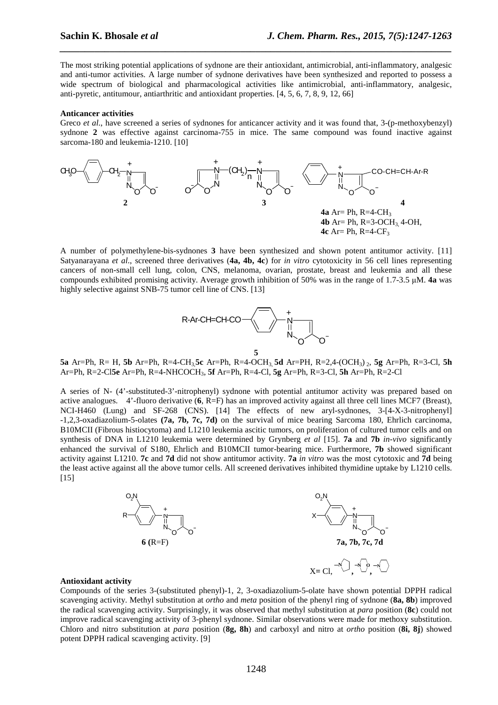The most striking potential applications of sydnone are their antioxidant, antimicrobial, anti-inflammatory, analgesic and anti-tumor activities. A large number of sydnone derivatives have been synthesized and reported to possess a wide spectrum of biological and pharmacological activities like antimicrobial, anti-inflammatory, analgesic, anti-pyretic, antitumour, antiarthritic and antioxidant properties. [4, 5, 6, 7, 8, 9, 12, 66]

*\_\_\_\_\_\_\_\_\_\_\_\_\_\_\_\_\_\_\_\_\_\_\_\_\_\_\_\_\_\_\_\_\_\_\_\_\_\_\_\_\_\_\_\_\_\_\_\_\_\_\_\_\_\_\_\_\_\_\_\_\_\_\_\_\_\_\_\_\_\_\_\_\_\_\_\_\_\_*

#### **Anticancer activities**

Greco *et al.*, have screened a series of sydnones for anticancer activity and it was found that, 3-(p-methoxybenzyl) sydnone **2** was effective against carcinoma-755 in mice. The same compound was found inactive against sarcoma-180 and leukemia-1210. [10]



A number of polymethylene-bis-sydnones **3** have been synthesized and shown potent antitumor activity. [11] Satyanarayana *et al*., screened three derivatives (**4a, 4b, 4c**) for *in vitro* cytotoxicity in 56 cell lines representing cancers of non-small cell lung, colon, CNS, melanoma, ovarian, prostate, breast and leukemia and all these compounds exhibited promising activity. Average growth inhibition of 50% was in the range of 1.7-3.5 µM. **4a** was highly selective against SNB-75 tumor cell line of CNS. [13]



**5a** Ar=Ph, R= H, **5b** Ar=Ph, R=4-CH3,**5c** Ar=Ph, R=4-OCH3, **5d** Ar=PH, R=2,4-(OCH3) 2, **5g** Ar=Ph, R=3-Cl, **5h** Ar=Ph, R=2-Cl**5e** Ar=Ph, R=4-NHCOCH3, **5f** Ar=Ph, R=4-Cl, **5g** Ar=Ph, R=3-Cl, **5h** Ar=Ph, R=2-Cl

A series of N- (4'-substituted-3'-nitrophenyl) sydnone with potential antitumor activity was prepared based on active analogues. 4'-fluoro derivative (**6**, R=F) has an improved activity against all three cell lines MCF7 (Breast), NCI-H460 (Lung) and SF-268 (CNS). [14] The effects of new aryl-sydnones, 3-[4-X-3-nitrophenyl] -1,2,3-oxadiazolium-5-olates **(7a, 7b, 7c, 7d)** on the survival of mice bearing Sarcoma 180, Ehrlich carcinoma, B10MCII (Fibrous histiocytoma) and L1210 leukemia ascitic tumors, on proliferation of cultured tumor cells and on synthesis of DNA in L1210 leukemia were determined by Grynberg *et al* [15]. **7a** and **7b** *in-vivo* significantly enhanced the survival of S180, Ehrlich and B10MCII tumor-bearing mice. Furthermore, **7b** showed significant activity against L1210. **7c** and **7d** did not show antitumor activity. **7a** *in vitro* was the most cytotoxic and **7d** being the least active against all the above tumor cells. All screened derivatives inhibited thymidine uptake by L1210 cells. [15]



## **Antioxidant activity**

Compounds of the series 3-(substituted phenyl)-1, 2, 3-oxadiazolium-5-olate have shown potential DPPH radical scavenging activity. Methyl substitution at *ortho* and *meta* position of the phenyl ring of sydnone (**8a, 8b**) improved the radical scavenging activity. Surprisingly, it was observed that methyl substitution at *para* position (**8c**) could not improve radical scavenging activity of 3-phenyl sydnone. Similar observations were made for methoxy substitution. Chloro and nitro substitution at *para* position (**8g, 8h**) and carboxyl and nitro at *ortho* position (**8i, 8j**) showed potent DPPH radical scavenging activity. [9]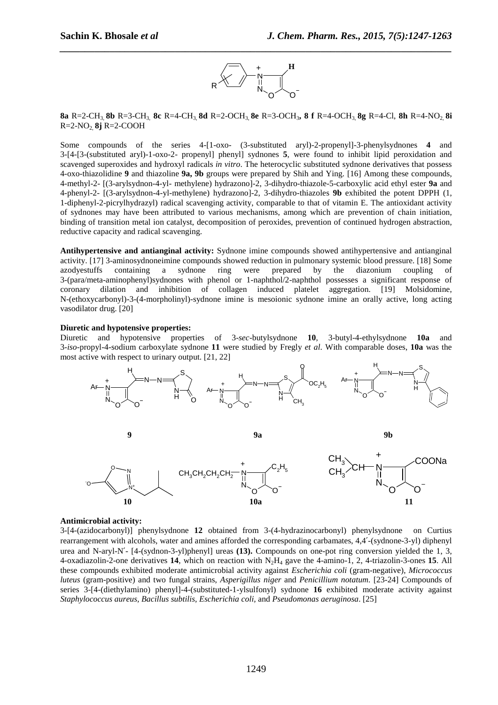

**8a** R=2-CH3, **8b** R=3-CH3, **8c** R=4-CH3, **8d** R=2-OCH3, **8e** R=3-OCH3**, 8 f** R=4-OCH3, **8g** R=4-Cl, **8h** R=4-NO2, **8i** R=2-NO2, **8j** R=2-COOH

Some compounds of the series 4-[1-oxo- (3-substituted aryl)-2-propenyl]-3-phenylsydnones **4** and 3-[4-[3-(substituted aryl)-1-oxo-2- propenyl] phenyl] sydnones **5**, were found to inhibit lipid peroxidation and scavenged superoxides and hydroxyl radicals *in vitro*. The heterocyclic substituted sydnone derivatives that possess 4-oxo-thiazolidine **9** and thiazoline **9a, 9b** groups were prepared by Shih and Ying. [16] Among these compounds, 4-methyl-2- [(3-arylsydnon-4-yl- methylene) hydrazono]-2, 3-dihydro-thiazole-5-carboxylic acid ethyl ester **9a** and 4-phenyl-2- [(3-arylsydnon-4-yl-methylene) hydrazono]-2, 3-dihydro-thiazoles **9b** exhibited the potent DPPH (1, 1-diphenyl-2-picrylhydrazyl) radical scavenging activity, comparable to that of vitamin E. The antioxidant activity of sydnones may have been attributed to various mechanisms, among which are prevention of chain initiation, binding of transition metal ion catalyst, decomposition of peroxides, prevention of continued hydrogen abstraction, reductive capacity and radical scavenging.

**Antihypertensive and antianginal activity:** Sydnone imine compounds showed antihypertensive and antianginal activity. [17] 3-aminosydnoneimine compounds showed reduction in pulmonary systemic blood pressure. [18] Some azodyestuffs containing a sydnone ring were prepared by the diazonium coupling of 3-(para/meta-aminophenyl)sydnones with phenol or 1-naphthol/2-naphthol possesses a significant response of coronary dilation and inhibition of collagen induced platelet aggregation. [19] Molsidomine, N-(ethoxycarbonyl)-3-(4-morpholinyl)-sydnone imine is mesoionic sydnone imine an orally active, long acting vasodilator drug. [20]

## **Diuretic and hypotensive properties:**

Diuretic and hypotensive properties of 3-*sec*-butylsydnone **10**, 3-butyl-4-ethylsydnone **10a** and 3-*iso*-propyl-4-sodium carboxylate sydnone **11** were studied by Fregly *et al*. With comparable doses, **10a** was the most active with respect to urinary output. [21, 22]



## **Antimicrobial activity:**

3-[4-(azidocarbonyl)] phenylsydnone **12** obtained from 3-(4-hydrazinocarbonyl) phenylsydnone on Curtius rearrangement with alcohols, water and amines afforded the corresponding carbamates, 4,4′-(sydnone-3-yl) diphenyl urea and N-aryl-N′- [4-(sydnon-3-yl)phenyl] ureas **(13).** Compounds on one-pot ring conversion yielded the 1, 3, 4-oxadiazolin-2-one derivatives **14**, which on reaction with  $N_2H_4$  gave the 4-amino-1, 2, 4-triazolin-3-ones **15**. All these compounds exhibited moderate antimicrobial activity against *Escherichia coli* (gram-negative), *Micrococcus luteus* (gram-positive) and two fungal strains, *Asperigillus niger* and *Penicillium notatum*. [23-24] Compounds of series 3-[4-(diethylamino) phenyl]-4-(substituted-1-ylsulfonyl) sydnone **16** exhibited moderate activity against *Staphylococcus aureus, Bacillus subtilis, Escherichia coli,* and *Pseudomonas aeruginosa*. [25]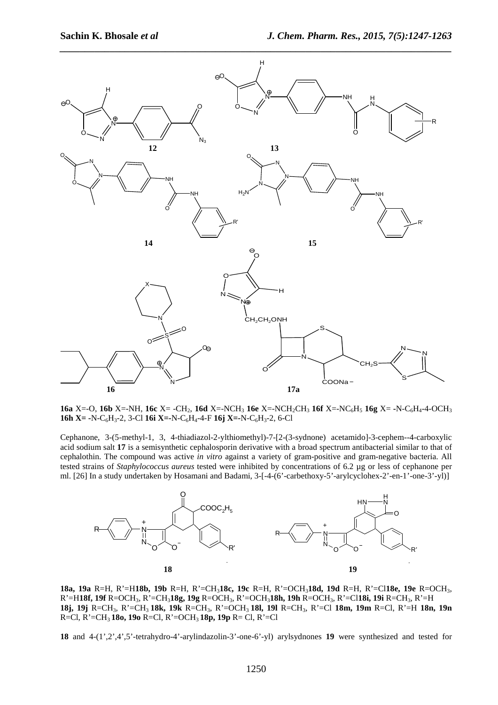

**16a** X=-O, **16b** X=-NH, **16c** X= -CH<sub>2</sub>, **16d** X=-NCH<sub>3</sub> **16e** X=-NCH<sub>3</sub>CH<sub>3</sub> **16f** X=-NC<sub>6</sub>H<sub>5</sub> **16g** X= -N-C<sub>6</sub>H<sub>4</sub>-4-OCH<sub>3</sub> **16h X= -**N-C<sub>6</sub>H<sub>3</sub>-2, 3-Cl **16i X=-**N-C<sub>6</sub>H<sub>4</sub>-4-F **16j X=-N-C**<sub>6</sub>H<sub>3</sub>-2, 6-Cl

Cephanone, 3-(5-methyl-1, 3, 4-thiadiazol-2-ylthiomethyl)-7-[2-(3-sydnone) acetamido]-3-cephem--4-carboxylic acid sodium salt **17** is a semisynthetic cephalosporin derivative with a broad spectrum antibacterial similar to that of cephalothin. The compound was active *in vitro* against a variety of gram-positive and gram-negative bacteria. All tested strains of *Staphylococcus aureus* tested were inhibited by concentrations of 6.2 µg or less of cephanone per ml. [26] In a study undertaken by Hosamani and Badami, 3-[-4-(6'-carbethoxy-5'-arylcyclohex-2'-en-1'-one-3'-yl)]



**18a, 19a** R=H, R'=H**18b, 19b** R=H, R'=CH3**18c, 19c** R=H, R'=OCH3**18d, 19d** R=H, R'=Cl**18e, 19e** R=OCH3, R'=H**18f, 19f** R=OCH3, R'=CH3**18g, 19g** R=OCH3, R'=OCH3**18h, 19h** R=OCH3, R'=Cl**18i, 19i** R=CH3, R'=H **18j, 19j** R=CH3, R'=CH3 **18k, 19k** R=CH3, R'=OCH3 **18l, 19l** R=CH3, R'=Cl **18m, 19m** R=Cl, R'=H **18n, 19n** R=Cl, R'=CH3 **18o, 19o** R=Cl, R'=OCH3 **18p, 19p** R= Cl, R'=Cl

**18** and 4-(1',2',4',5'-tetrahydro-4'-arylindazolin-3'-one-6'-yl) arylsydnones **19** were synthesized and tested for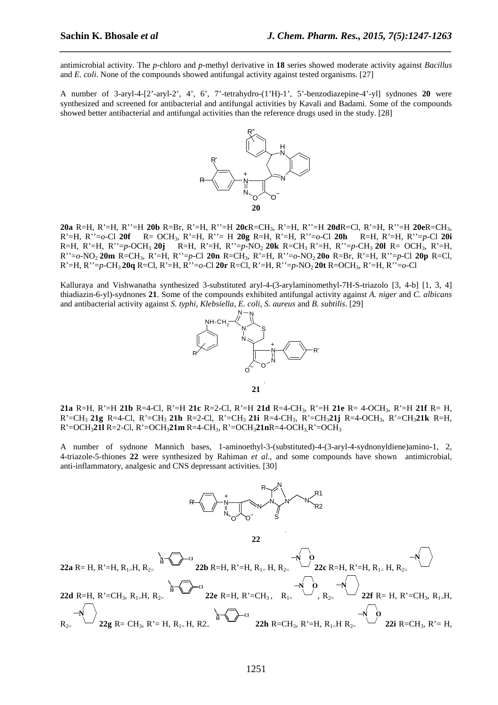antimicrobial activity. The *p-*chloro and *p*-methyl derivative in **18** series showed moderate activity against *Bacillus* and *E. coli*. None of the compounds showed antifungal activity against tested organisms. [27]

*\_\_\_\_\_\_\_\_\_\_\_\_\_\_\_\_\_\_\_\_\_\_\_\_\_\_\_\_\_\_\_\_\_\_\_\_\_\_\_\_\_\_\_\_\_\_\_\_\_\_\_\_\_\_\_\_\_\_\_\_\_\_\_\_\_\_\_\_\_\_\_\_\_\_\_\_\_\_*

A number of 3-aryl-4-[2'-aryl-2', 4', 6', 7'-tetrahydro-(1'H)-1', 5'-benzodiazepine-4'-yl] sydnones **20** were synthesized and screened for antibacterial and antifungal activities by Kavali and Badami. Some of the compounds showed better antibacterial and antifungal activities than the reference drugs used in the study. [28]



**20a** R=H, R'=H, R''=H **20b** R=Br, R'=H, R''=H **20c**R=CH3, R'=H, R''=H **20d**R=Cl, R'=H, R''=H **20e**R=CH3, R'=H, R''=*o*-Cl **20f** R= OCH3, R'=H, R''= H **20g** R=H, R'=H, R''=*o*-Cl **20h** R=H, R'=H, R''=*p*-Cl **20i** R=H, R'=H, R''=*p*-OCH3 **20j** R=H, R'=H, R''=*p*-NO2 **20k** R=CH3 R'=H, R''=*p-*CH3 **20l** R= OCH3, R'=H, R''=*o-*NO2 **20m** R=CH3, R'=H, R''=*p*-Cl **20n** R=CH3, R'=H, R''=*o-*NO2 **20o** R=Br, R'=H, R''=*p*-Cl **20p** R=Cl, R'=H, R''=*p*-CH3 **20q** R=Cl, R'=H, R''=*o*-Cl **20r** R=Cl, R'=H, R''=*p*-NO2 **20t** R=OCH3, R'=H, R''=*o*-Cl

Kalluraya and Vishwanatha synthesized 3-substituted aryl-4-(3-arylaminomethyl-7H-S-triazolo [3, 4-b] [1, 3, 4] thiadiazin-6-yl)-sydnones **21**. Some of the compounds exhibited antifungal activity against *A. niger* and *C. albicans* and antibacterial activity against *S. typhi*, *Klebsiella*, *E. coli, S. aureus* and *B. subtilis*. [29]



**21** 

**21a** R=H, R'=H **21b** R=4-Cl, R'=H **21c** R=2-Cl, R'=H **21d** R=4-CH3, R'=H **21e** R= 4-OCH3, R'=H **21f** R= H, R'=CH3 **21g** R=4-Cl, R'=CH3 **21h** R=2-Cl, R'=CH3 **21i** R=4-CH3, R'=CH3**21j** R=4-OCH3, R'=CH3**21k** R=H, R'=OCH3**21l** R=2-Cl, R'=OCH3**21m** R=4-CH3, R'=OCH3**21n**R=4-OCH3,R'=OCH<sup>3</sup>

A number of sydnone Mannich bases, 1-aminoethyl-3-(substituted)-4-(3-aryl-4-sydnonyldiene)amino-1, 2, 4-triazole-5-thiones **22** were synthesized by Rahiman *et al*., and some compounds have shown antimicrobial, anti-inflammatory, analgesic and CNS depressant activities. [30]



**22** 

$$
\begin{array}{c} \textbf{22a R=H, R'=H, R_{1=}H, R_{2=}} \end{array} \begin{array}{c} \textbf{N} \\ \textbf{22b R=H, R'=H, R_{1=}} \end{array} \begin{array}{c} \textbf{N} \\ \textbf{22c R=H, R'=H, R_{2=}} \end{array} \begin{array}{c} \textbf{N} \\ \textbf{22c R=H, R'=H, R_{1=}H, R_{2=}} \end{array} \begin{array}{c} \textbf{N} \\ \textbf{22c R=H, R'=H, R_{1=}H, R_{2=}} \end{array} \begin{array}{c} \textbf{N} \\ \textbf{22c R=H, R'=H, R^{2}=H, R^{2}=H, R^{2}=H, R^{2}=H, R^{2}=H, R^{2}=H, R^{2}=H, R^{2}=H, R^{2}=H, R^{2}=H, R^{2}=H, R^{2}=H, R^{2}=H, R^{2}=H, R^{2}=H, R^{2}=H, R^{2}=H, R^{2}=H, R^{2}=H, R^{2}=H, R^{2}=H, R^{2}=H, R^{2}=H, R^{2}=H, R^{2}=H, R^{2}=H, R^{2}=H, R^{2}=H, R^{2}=H, R^{2}=H, R^{2}=H, R^{2}=H, R^{2}=H, R^{2}=H, R^{2}=H, R^{2}=H, R^{2}=H, R^{2}=H, R^{2}=H, R^{2}=H, R^{2}=H, R^{2}=H, R^{2}=H, R^{2}=H, R^{2}=H, R^{2}=H, R^{2}=H, R^{2}=H, R^{2}=H, R^{2}=H, R^{2}=H, R^{2}=H, R^{2}=H, R^{2}=H, R^{2}=H, R^{2}=H, R^{2}=H, R^{2}=H, R^{2}=H, R^{2}=H, R^{2}=H, R^{2}=H, R^{2}=H, R^{2}=H, R^{2}=H, R^{2}=H, R^{2}=H, R^{2}=H, R^{2}=H, R^{2}=H, R^{2}=H, R^{2}=H, R^{2}=H, R^{2}=H, R^{2}=H, R^{2}=H, R^{2}=H, R^{2}=H, R^{2}=H, R^{2}=H, R^{2}=H, R^{2}=H, R^{2}=H, R^{2}=H, R^{2}=H, R^{2}=H,
$$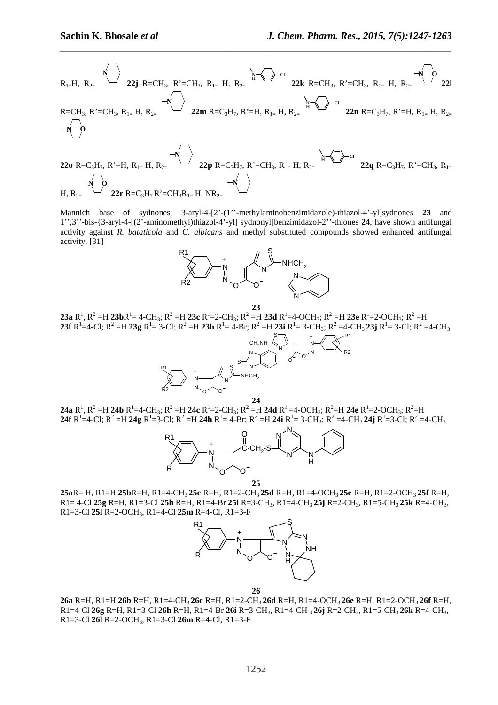$$
R_{1=}H, R_{2=}\n\begin{array}{c}\n\bullet\n\bullet\n\bullet\n\end{array}\n\begin{array}{c}\n\bullet\n\bullet\n\bullet\n\end{array}\n\begin{array}{c}\n\bullet\n\bullet\n\bullet\n\end{array}\n\begin{array}{c}\n\bullet\n\bullet\n\bullet\n\end{array}\n\begin{array}{c}\n\bullet\n\bullet\n\bullet\n\end{array}\n\begin{array}{c}\n\bullet\n\bullet\n\end{array}\n\begin{array}{c}\n\bullet\n\bullet\n\end{array}\n\begin{array}{c}\n\bullet\n\bullet\n\end{array}\n\begin{array}{c}\n\bullet\n\bullet\n\end{array}\n\begin{array}{c}\n\bullet\n\bullet\n\end{array}\n\begin{array}{c}\n\bullet\n\bullet\n\end{array}\n\begin{array}{c}\n\bullet\n\bullet\n\end{array}\n\begin{array}{c}\n\bullet\n\bullet\n\end{array}\n\begin{array}{c}\n\bullet\n\bullet\n\end{array}\n\begin{array}{c}\n\bullet\n\bullet\n\end{array}\n\begin{array}{c}\n\bullet\n\end{array}\n\begin{array}{c}\n\bullet\n\end{array}\n\begin{array}{c}\n\bullet\n\end{array}\n\end{array}\n\begin{array}{c}\n\bullet\n\end{array}\n\begin{array}{c}\n\bullet\n\end{array}\n\begin{array}{c}\n\bullet\n\end{array}\n\begin{array}{c}\n\bullet\n\end{array}\n\begin{array}{c}\n\bullet\n\end{array}\n\end{array}\n\begin{array}{c}\n\bullet\n\end{array}\n\begin{array}{c}\n\bullet\n\end{array}\n\begin{array}{c}\n\bullet\n\end{array}\n\begin{array}{c}\n\bullet\n\end{array}\n\begin{array}{c}\n\bullet\n\end{array}\n\begin{array}{c}\n\bullet\n\end{array}\n\end{array}\n\begin{array}{c}\n\bullet\n\end{array}\n\begin{array}{c}\n\bullet\n\end{array}\n\begin{array}{c}\n\bullet\n\end{array}\n\begin{array}{c}\n\bullet\n\end{array}\n\end{array}\n\begin{array}{c}\n\bullet\n\end{array}\n\begin{array}{c}\n\bullet\n\end{array}\n\begin{array}{c}\n\bullet\n\end{array}\n\begin{array}{c}\n\bullet\n\end{array}\n\end{array}\n\begin{array}{c}\n\bullet\n\end{array}\n\begin{array}{c}\n\bullet
$$

Mannich base of sydnones, 3-aryl-4-[2'-(1''-methylaminobenzimidazole)-thiazol-4'-yl]sydnones **23** and 1'',3''-bis-{3-aryl-4-[(2'-aminomethyl)thiazol-4'-yl] sydnonyl]benzimidazol-2''-thiones **24**, have shown antifungal activity against *R. bataticola* and *C. albicans* and methyl substituted compounds showed enhanced antifungal activity. [31]



**23 23a**  $R^1$ ,  $R^2 = H$  **23b** $R^1 = 4$ -CH<sub>3</sub>;  $R^2 = H$  **23c**  $R^1 = 2$ -CH<sub>3</sub>;  $R^2 = H$  **23d**  $R^1 = 4$ -OCH<sub>3</sub>;  $R^2 = H$  **23e**  $R^1 = 2$ -OCH<sub>3</sub>;  $R^2 = H$  $23f R^1 = 4-Cl; R^2 = H 23g R^1 = 3-Cl; R^2 = H 23h R^1 = 4-Br; R^2 = H 23i R^1 = 3-CH_3; R^2 = 4-CH_3 23j R^1 = 3-Cl; R^2 = 4-CH_3$ 



**24 24a**  $R^1$ ,  $R^2$  =H **24b**  $R^1$ =4-CH<sub>3</sub>;  $R^2$  =H **24c**  $R^1$ =2-CH<sub>3</sub>;  $R^2$  =H **24d**  $R^1$  =4-OCH<sub>3</sub>;  $R^2$  =H **24e**  $R^1$  =2-OCH<sub>3</sub>;  $R^2$  =H  $24$ f R<sup>1</sup>=4-Cl; R<sup>2</sup> =H 24g R<sup>1</sup>=3-Cl; R<sup>2</sup> =H 24h R<sup>1</sup>= 4-Br; R<sup>2</sup> =H 24i R<sup>1</sup>= 3-CH<sub>3</sub>; R<sup>2</sup> =4-CH<sub>3</sub> 24j R<sup>1</sup>=3-Cl; R<sup>2</sup> =4-CH<sub>3</sub>



**25a**R= H, R1=H **25b**R=H, R1=4-CH3 **25c** R=H, R1=2-CH3 **25d** R=H, R1=4-OCH3 **25e** R=H, R1=2-OCH3 **25f** R=H, R1= 4-Cl **25g** R=H, R1=3-Cl **25h** R=H, R1=4-Br **25i** R=3-CH3, R1=4-CH3 **25j** R=2-CH3, R1=5-CH3 **25k** R=4-CH3, R1=3-Cl **25l** R=2-OCH3, R1=4-Cl **25m** R=4-Cl, R1=3-F

**25** 



**26** 

**26a** R=H, R1=H **26b** R=H, R1=4-CH3 **26c** R=H, R1=2-CH3 **26d** R=H, R1=4-OCH3 **26e** R=H, R1=2-OCH3 **26f** R=H, R1=4-Cl **26g** R=H, R1=3-Cl **26h** R=H, R1=4-Br **26i** R=3-CH3, R1=4-CH 3 **26j** R=2-CH3, R1=5-CH3 **26k** R=4-CH3, R1=3-Cl **26l** R=2-OCH3, R1=3-Cl **26m** R=4-Cl, R1=3-F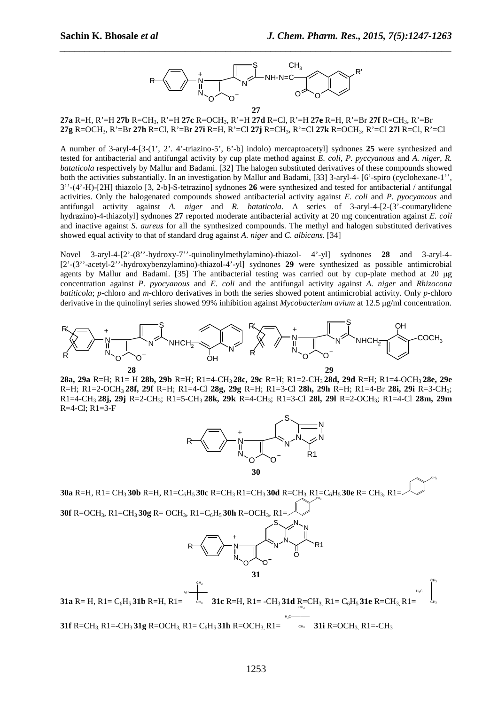CH<sup>3</sup>



*\_\_\_\_\_\_\_\_\_\_\_\_\_\_\_\_\_\_\_\_\_\_\_\_\_\_\_\_\_\_\_\_\_\_\_\_\_\_\_\_\_\_\_\_\_\_\_\_\_\_\_\_\_\_\_\_\_\_\_\_\_\_\_\_\_\_\_\_\_\_\_\_\_\_\_\_\_\_*

**27a** R=H, R'=H **27b** R=CH3, R'=H **27c** R=OCH3, R'=H **27d** R=Cl, R'=H **27e** R=H, R'=Br **27f** R=CH3, R'=Br **27g** R=OCH3, R'=Br **27h** R=Cl, R'=Br **27i** R=H, R'=Cl **27j** R=CH3, R'=Cl **27k** R=OCH3, R'=Cl **27l** R=Cl, R'=Cl

A number of 3-aryl-4-[3-(1', 2'. 4'-triazino-5', 6'-b] indolo) mercaptoacetyl] sydnones **25** were synthesized and tested for antibacterial and antifungal activity by cup plate method against *E. coli*, *P. pyccyanous* and *A. niger*, *R. bataticola* respectively by Mallur and Badami. [32] The halogen substituted derivatives of these compounds showed both the activities substantially. In an investigation by Mallur and Badami, [33] 3-aryl-4- [6'-spiro (cyclohexane-1'', 3''-(4'-H)-[2H] thiazolo [3, 2-b]-S-tetrazino] sydnones **26** were synthesized and tested for antibacterial / antifungal activities. Only the halogenated compounds showed antibacterial activity against *E. coli* and *P. pyocyanous* and antifungal activity against *A. niger* and *R. bataticola*. A series of 3-aryl-4-[2-(3'-coumarylidene hydrazino)-4-thiazolyl] sydnones **27** reported moderate antibacterial activity at 20 mg concentration against *E. coli* and inactive against *S. aureus* for all the synthesized compounds. The methyl and halogen substituted derivatives showed equal activity to that of standard drug against *A. niger* and *C. albicans*. [34]

Novel 3-aryl-4-[2'-(8''-hydroxy-7''-quinolinylmethylamino)-thiazol- 4'-yl] sydnones **28** and 3-aryl-4- [2'-(3''-acetyl-2''-hydroxybenzylamino)-thiazol-4'-yl] sydnones **29** were synthesized as possible antimicrobial agents by Mallur and Badami. [35] The antibacterial testing was carried out by cup-plate method at 20 µg concentration against *P. pyocyanous* and *E. coli* and the antifungal activity against *A. niger* and *Rhizocona batiticola*; *p*-chloro and *m*-chloro derivatives in both the series showed potent antimicrobial activity. Only *p*-chloro derivative in the quinolinyl series showed 99% inhibition against *Mycobacterium avium* at 12.5 µg/ml concentration.



**28a, 29a** R=H; R1= H **28b, 29b** R=H; R1=4-CH3 **28c, 29c** R=H; R1=2-CH3 **28d, 29d** R=H; R1=4-OCH3 **28e, 29e** R=H; R1=2-OCH3 **28f, 29f** R=H; R1=4-Cl **28g, 29g** R=H; R1=3-Cl **28h, 29h** R=H; R1=4-Br **28i, 29i** R=3-CH3; R1=4-CH3 **28j, 29j** R=2-CH3; R1=5-CH3 **28k, 29k** R=4-CH3; R1=3-Cl **28l, 29l** R=2-OCH3; R1=4-Cl **28m, 29m** R=4-Cl; R1=3-F



**30a** R=H, R1= CH3 **30b** R=H, R1=C6H5 **30c** R=CH3 R1=CH3 **30d** R=CH3, R1=C6H5 **30e** R= CH3, R1= **30f** R=OCH3, R1=CH3 **30g** R= OCH3, R1=C6H5 **30h** R=OCH3, R1=  $\mathsf{CH}_3$ O R N N N N S N N O R1 O + **31 31a**  $R = H$ ,  $R1 = C<sub>6</sub>H$ <sub>5</sub> **31b**  $R = H$ ,  $R1 =$  $H_3C$ CH<sup>3</sup> **31c** R=H, R1= -CH3 **31d** R=CH3, R1= C6H5 **31e** R=CH3, R1= CH<sup>3</sup>  $H_3C$ CH<sup>3</sup>  $H_3C$ CH<sup>3</sup>

**31f** R=CH<sub>3</sub>, R1=-CH<sub>3</sub>, **31g** R=OCH<sub>3</sub>, R1= C<sub>6</sub>H<sub>5</sub>, **31h** R=OCH<sub>3</sub>, R1= **31i** R=OCH3, R1=-CH3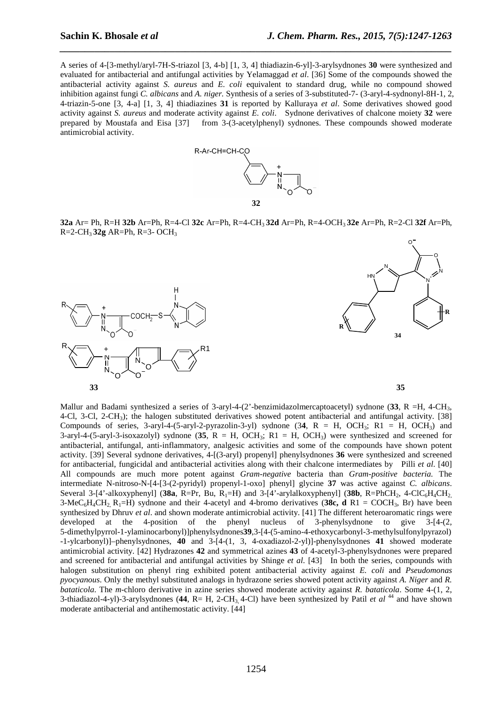A series of 4-[3-methyl/aryl-7H-S-triazol [3, 4-b] [1, 3, 4] thiadiazin-6-yl]-3-arylsydnones **30** were synthesized and evaluated for antibacterial and antifungal activities by Yelamaggad *et al*. [36] Some of the compounds showed the antibacterial activity against *S. aureus* and *E. coli* equivalent to standard drug, while no compound showed inhibition against fungi *C. albicans* and *A. niger.* Synthesis of a series of 3-substituted-7- (3-aryl-4-sydnonyl-8H-1, 2, 4-triazin-5-one [3, 4-a] [1, 3, 4] thiadiazines **31** is reported by Kalluraya *et al*. Some derivatives showed good activity against *S. aureus* and moderate activity against *E. coli*. Sydnone derivatives of chalcone moiety **32** were prepared by Moustafa and Eisa [37] from 3-(3-acetylphenyl) sydnones. These compounds showed moderate antimicrobial activity.

*\_\_\_\_\_\_\_\_\_\_\_\_\_\_\_\_\_\_\_\_\_\_\_\_\_\_\_\_\_\_\_\_\_\_\_\_\_\_\_\_\_\_\_\_\_\_\_\_\_\_\_\_\_\_\_\_\_\_\_\_\_\_\_\_\_\_\_\_\_\_\_\_\_\_\_\_\_\_*



**32a** Ar= Ph, R=H **32b** Ar=Ph, R=4-Cl **32c** Ar=Ph, R=4-CH3 **32d** Ar=Ph, R=4-OCH3 **32e** Ar=Ph, R=2-Cl **32f** Ar=Ph, R=2-CH3 **32g** AR=Ph, R=3- OCH<sup>3</sup>





Mallur and Badami synthesized a series of 3-aryl-4-(2'-benzimidazolmercaptoacetyl) sydnone (33, R =H, 4-CH<sub>3</sub>, 4-Cl, 3-Cl, 2-CH<sub>3</sub>); the halogen substituted derivatives showed potent antibacterial and antifungal activity. [38] Compounds of series, 3-aryl-4-(5-aryl-2-pyrazolin-3-yl) sydnone (3**4**, R = H, OCH3; R1 = H, OCH3) and 3-aryl-4-(5-aryl-3-isoxazolyl) sydnone (**35**, R = H, OCH3; R1 = H, OCH3) were synthesized and screened for antibacterial, antifungal, anti-inflammatory, analgesic activities and some of the compounds have shown potent activity. [39] Several sydnone derivatives, 4-[(3-aryl) propenyl] phenylsydnones **36** were synthesized and screened for antibacterial, fungicidal and antibacterial activities along with their chalcone intermediates by Pilli *et al*. [40] All compounds are much more potent against *Gram-negative* bacteria than *Gram-positive bacteria.* The intermediate N-nitroso-N-[4-[3-(2-pyridyl) propenyl-1-oxo] phenyl] glycine **37** was active against *C. albicans*. Several 3-[4'-alkoxyphenyl] ( $38a$ , R=Pr, Bu, R<sub>1</sub>=H) and 3-[4'-arylalkoxyphenyl] ( $38b$ , R=PhCH<sub>2</sub>, 4-ClC<sub>6</sub>H<sub>4</sub>CH<sub>2</sub> 3-MeC<sub>6</sub>H<sub>4</sub>CH<sub>2</sub>, R<sub>1</sub>=H) sydnone and their 4-acetyl and 4-bromo derivatives (38c, d R1 = COCH<sub>3</sub>, Br) have been synthesized by Dhruv *et al*. and shown moderate antimicrobial activity. [41] The different heteroaromatic rings were developed at the 4-position of the phenyl nucleus of 3-phenylsydnone to give 3-[4-(2, 5-dimethylpyrrol-1-ylaminocarbonyl)]phenylsydnones**39**,3-[4-(5-amino-4-ethoxycarbonyl-3-methylsulfonylpyrazol) -1-ylcarbonyl)]–phenylsydnones, **40** and 3-[4-(1, 3, 4-oxadiazol-2-yl)]-phenylsydnones **41** showed moderate antimicrobial activity. [42] Hydrazones **42** and symmetrical azines **43** of 4-acetyl-3-phenylsydnones were prepared and screened for antibacterial and antifungal activities by Shinge *et al*. [43] In both the series, compounds with halogen substitution on phenyl ring exhibited potent antibacterial activity against *E. coli* and *Pseudomonas pyocyanous*. Only the methyl substituted analogs in hydrazone series showed potent activity against *A. Niger* and *R. bataticola*. The *m*-chloro derivative in azine series showed moderate activity against *R. bataticola*. Some 4-(1, 2, 3-thiadiazol-4-yl)-3-arylsydnones (**44**, R= H, 2-CH3, 4-Cl) have been synthesized by Patil *et al* <sup>44</sup> and have shown moderate antibacterial and antihemostatic activity. [44]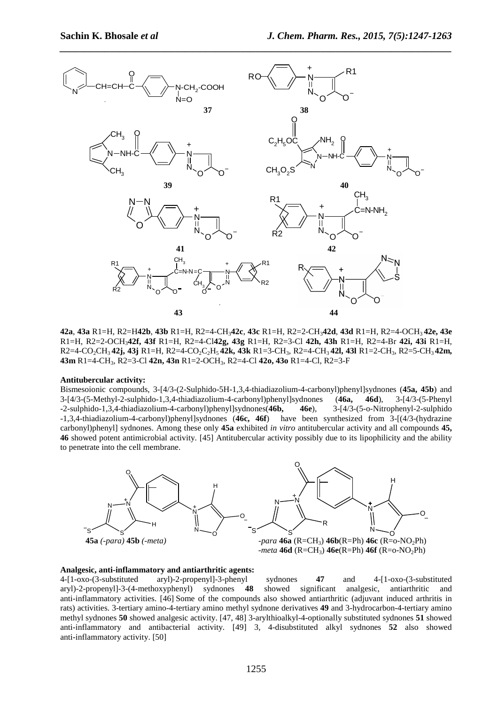

**42a**, **43a** R1=H, R2=H**42b**, **43b** R1=H, R2=4-CH3**42c**, **43c** R1=H, R2=2-CH3**42d**, **43d** R1=H, R2=4-OCH3 **42e, 43e** R1=H, R2=2-OCH3**42f, 43f** R1=H, R2=4-Cl**42g, 43g** R1=H, R2=3-Cl **42h, 43h** R1=H, R2=4-Br **42i, 43i** R1=H, R2=4-CO2CH3 **42j, 43j** R1=H, R2=4-CO2C2H5 **42k, 43k** R1=3-CH3, R2=4-CH3 **42l, 43l** R1=2-CH3, R2=5-CH3 **42m, 43m** R1=4-CH3, R2=3-Cl **42n, 43n** R1=2-OCH3, R2=4-Cl **42o, 43o** R1=4-Cl, R2=3-F

#### **Antitubercular activity:**

Bismesoionic compounds, 3-[4/3-(2-Sulphido-5H-1,3,4-thiadiazolium-4-carbonyl)phenyl]sydnones (**45a, 45b**) and 3-[4/3-(5-Methyl-2-sulphido-1,3,4-thiadiazolium-4-carbonyl)phenyl]sydnones (**46a, 46d**), 3-[4/3-(5-Phenyl -2-sulphido-1,3,4-thiadiazolium-4-carbonyl)phenyl]sydnones(**46b, 46e**), 3-[4/3-(5-o-Nitrophenyl-2-sulphido -1,3,4-thiadiazolium-4-carbonyl)phenyl]sydnones (**46c, 46f**) have been synthesized from 3-[(4/3-(hydrazine carbonyl)phenyl] sydnones. Among these only **45a** exhibited *in vitro* antitubercular activity and all compounds **45, 46** showed potent antimicrobial activity. [45] Antitubercular activity possibly due to its lipophilicity and the ability to penetrate into the cell membrane.



#### **Analgesic, anti-inflammatory and antiarthritic agents:**

4-[1-oxo-(3-substituted aryl)-2-propenyl]-3-phenyl sydnones **47** and 4-[1-oxo-(3-substituted aryl)-2-propenyl]-3-(4-methoxyphenyl) sydnones **48** showed significant analgesic, antiarthritic and anti-inflammatory activities. [46] Some of the compounds also showed antiarthritic (adjuvant induced arthritis in rats) activities. 3-tertiary amino-4-tertiary amino methyl sydnone derivatives **49** and 3-hydrocarbon-4-tertiary amino methyl sydnones **50** showed analgesic activity. [47, 48] 3-arylthioalkyl-4-optionally substituted sydnones **51** showed anti-inflammatory and antibacterial activity. [49] 3, 4-disubstituted alkyl sydnones **52** also showed anti-inflammatory activity. [50]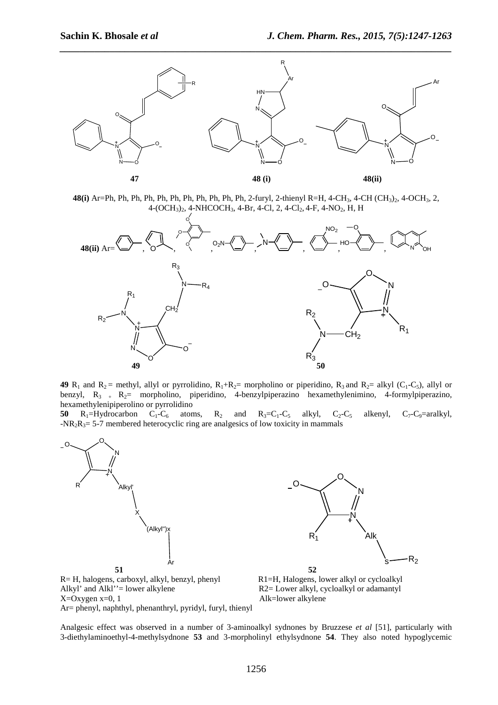

**48(i)** Ar=Ph, Ph, Ph, Ph, Ph, Ph, Ph, Ph, Ph, Ph, Ph, 2-furyl, 2-thienyl R=H, 4-CH3, 4-CH (CH3)2, 4-OCH3, 2,  $4-(OCH<sub>3</sub>)<sub>2</sub>$ ,  $4-NHCOCH<sub>3</sub>$ ,  $4-Br$ ,  $4-Cl$ ,  $2$ ,  $4-Cl<sub>2</sub>$ ,  $4-F$ ,  $4-NO<sub>2</sub>$ ,  $H$ ,  $H$ 



**49**  $R_1$  and  $R_2$  = methyl, allyl or pyrrolidino,  $R_1 + R_2$  = morpholino or piperidino,  $R_3$  and  $R_2$  = alkyl (C<sub>1</sub>-C<sub>5</sub>), allyl or benzyl,  $R_3$  +  $R_2$  = morpholino, piperidino, 4-benzylpiperazino hexamethylenimino, 4-formylpiperazino, hexamethylenipiperolino or pyrrolidino

**50**  $R_1$ =Hydrocarbon  $C_1$ - $C_6$  atoms,  $R_2$  and  $R_3$ = $C_1$ - $C_5$  alkyl,  $C_2$ - $C_5$  alkenyl,  $C_7$ - $C_9$ =aralkyl,  $-NR_2R_3 = 5-7$  membered heterocyclic ring are analgesics of low toxicity in mammals





Analgesic effect was observed in a number of 3-aminoalkyl sydnones by Bruzzese *et al* [51], particularly with 3-diethylaminoethyl-4-methylsydnone **53** and 3-morpholinyl ethylsydnone **54**. They also noted hypoglycemic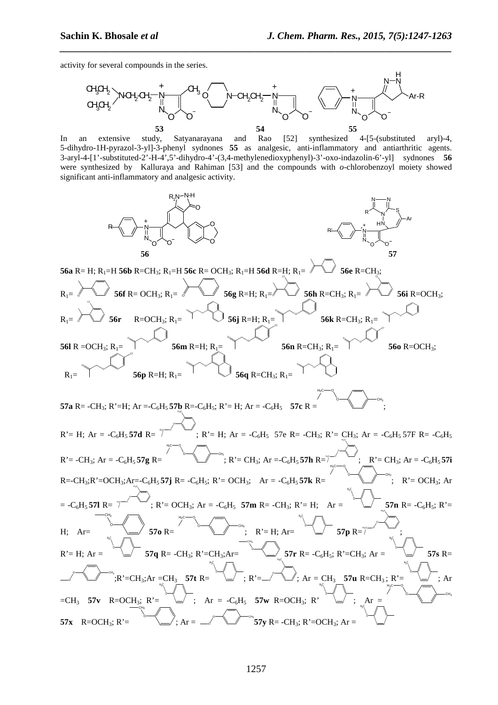activity for several compounds in the series.



*\_\_\_\_\_\_\_\_\_\_\_\_\_\_\_\_\_\_\_\_\_\_\_\_\_\_\_\_\_\_\_\_\_\_\_\_\_\_\_\_\_\_\_\_\_\_\_\_\_\_\_\_\_\_\_\_\_\_\_\_\_\_\_\_\_\_\_\_\_\_\_\_\_\_\_\_\_\_*

In an extensive study, Satyanarayana and Rao [52] synthesized 4-[5-(substituted aryl)-4, 5-dihydro-1H-pyrazol-3-yl]-3-phenyl sydnones **55** as analgesic, anti-inflammatory and antiarthritic agents. 3-aryl-4-[1'-substituted-2'-H-4',5'-dihydro-4'-(3,4-methylenedioxyphenyl)-3'-oxo-indazolin-6'-yl] sydnones **56** were synthesized by Kalluraya and Rahiman [53] and the compounds with *o*-chlorobenzoyl moiety showed significant anti-inflammatory and analgesic activity.

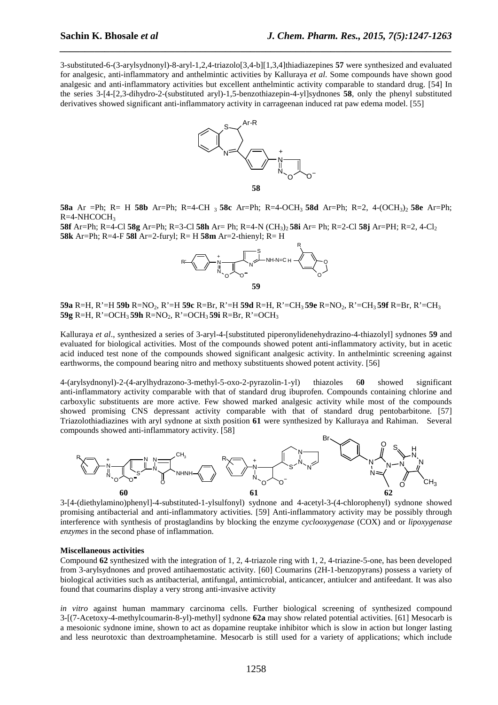3-substituted-6-(3-arylsydnonyl)-8-aryl-1,2,4-triazolo[3,4-b][1,3,4]thiadiazepines **57** were synthesized and evaluated for analgesic, anti-inflammatory and anthelmintic activities by Kalluraya *et al*. Some compounds have shown good analgesic and anti-inflammatory activities but excellent anthelmintic activity comparable to standard drug. [54] In the series 3-[4-[2,3-dihydro-2-(substituted aryl)-1,5-benzothiazepin-4-yl]sydnones **58**, only the phenyl substituted derivatives showed significant anti-inflammatory activity in carrageenan induced rat paw edema model. [55]

*\_\_\_\_\_\_\_\_\_\_\_\_\_\_\_\_\_\_\_\_\_\_\_\_\_\_\_\_\_\_\_\_\_\_\_\_\_\_\_\_\_\_\_\_\_\_\_\_\_\_\_\_\_\_\_\_\_\_\_\_\_\_\_\_\_\_\_\_\_\_\_\_\_\_\_\_\_\_*



**58a** Ar =Ph; R= H **58b** Ar=Ph; R=4-CH 3 **58c** Ar=Ph; R=4-OCH<sub>3</sub> **58d** Ar=Ph; R=2, 4-(OCH3)<sup>2</sup> **58e** Ar=Ph; R=4-NHCOCH<sup>3</sup>

**58f** Ar=Ph; R=4-Cl **58g** Ar=Ph; R=3-Cl **58h** Ar= Ph; R=4-N (CH3)2 **58i** Ar= Ph; R=2-Cl **58j** Ar=PH; R=2, 4-Cl<sup>2</sup> **58k** Ar=Ph; R=4-F **58l** Ar=2-furyl; R= H **58m** Ar=2-thienyl; R= H



**59a** R=H, R'=H **59b** R=NO2, R'=H **59c** R=Br, R'=H **59d** R=H, R'=CH3 **59e** R=NO2, R'=CH3 **59f** R=Br, R'=CH<sup>3</sup> **59g** R=H, R'=OCH<sub>3</sub> **59h** R=NO<sub>2</sub>, R'=OCH<sub>3</sub> **59i** R=Br, R'=OCH<sub>3</sub>

Kalluraya *et al*., synthesized a series of 3-aryl-4-[substituted piperonylidenehydrazino-4-thiazolyl] sydnones **59** and evaluated for biological activities. Most of the compounds showed potent anti-inflammatory activity, but in acetic acid induced test none of the compounds showed significant analgesic activity. In anthelmintic screening against earthworms, the compound bearing nitro and methoxy substituents showed potent activity. [56]

4-(arylsydnonyl)-2-(4-arylhydrazono-3-methyl-5-oxo-2-pyrazolin-1-yl) thiazoles 6**0** showed significant anti-inflammatory activity comparable with that of standard drug ibuprofen. Compounds containing chlorine and carboxylic substituents are more active. Few showed marked analgesic activity while most of the compounds showed promising CNS depressant activity comparable with that of standard drug pentobarbitone. [57] Triazolothiadiazines with aryl sydnone at sixth position **61** were synthesized by Kalluraya and Rahiman. Several compounds showed anti-inflammatory activity. [58]



3-[4-(diethylamino)phenyl]-4-substituted-1-ylsulfonyl) sydnone and 4-acetyl-3-(4-chlorophenyl) sydnone showed promising antibacterial and anti-inflammatory activities. [59] Anti-inflammatory activity may be possibly through interference with synthesis of prostaglandins by blocking the enzyme *cyclooxygenase* (COX) and or *lipoxygenase enzymes* in the second phase of inflammation.

## **Miscellaneous activities**

Compound **62** synthesized with the integration of 1, 2, 4-triazole ring with 1, 2, 4-triazine-5-one, has been developed from 3-arylsydnones and proved antihaemostatic activity. [60] Coumarins (2H-1-benzopyrans) possess a variety of biological activities such as antibacterial, antifungal, antimicrobial, anticancer, antiulcer and antifeedant. It was also found that coumarins display a very strong anti-invasive activity

*in vitro* against human mammary carcinoma cells. Further biological screening of synthesized compound 3-[(7-Acetoxy-4-methylcoumarin-8-yl)-methyl] sydnone **62a** may show related potential activities. [61] Mesocarb is a mesoionic sydnone imine, shown to act as dopamine reuptake inhibitor which is slow in action but longer lasting and less neurotoxic than dextroamphetamine. Mesocarb is still used for a variety of applications; which include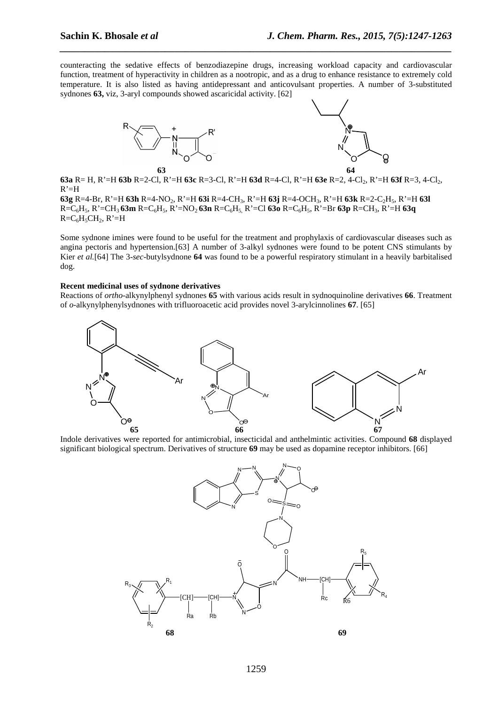counteracting the sedative effects of benzodiazepine drugs, increasing workload capacity and cardiovascular function, treatment of hyperactivity in children as a nootropic, and as a drug to enhance resistance to extremely cold temperature. It is also listed as having antidepressant and anticovulsant properties. A number of 3-substituted sydnones **63,** viz, 3-aryl compounds showed ascaricidal activity. [62]

*\_\_\_\_\_\_\_\_\_\_\_\_\_\_\_\_\_\_\_\_\_\_\_\_\_\_\_\_\_\_\_\_\_\_\_\_\_\_\_\_\_\_\_\_\_\_\_\_\_\_\_\_\_\_\_\_\_\_\_\_\_\_\_\_\_\_\_\_\_\_\_\_\_\_\_\_\_\_*





**63a** R= H, R'=H **63b** R=2-Cl, R'=H **63c** R=3-Cl, R'=H **63d** R=4-Cl, R'=H **63e** R=2, 4-Cl2, R'=H **63f** R=3, 4-Cl2,  $R' = H$ 

**63g** R=4-Br, R'=H **63h** R=4-NO2, R'=H **63i** R=4-CH3, R'=H **63j** R=4-OCH3, R'=H **63k** R=2-C2H5, R'=H **63l**  R=C6H5, R'=CH3 **63m** R=C6H5, R'=NO2 **63n** R=C6H5, R'=Cl **63o** R=C6H5, R'=Br **63p** R=CH3, R'=H **63q**   $R=C_6H_5CH_2$ ,  $R'=H$ 

Some sydnone imines were found to be useful for the treatment and prophylaxis of cardiovascular diseases such as angina pectoris and hypertension.[63] A number of 3-alkyl sydnones were found to be potent CNS stimulants by Kier *et al.*[64] The 3-*sec*-butylsydnone **64** was found to be a powerful respiratory stimulant in a heavily barbitalised dog.

#### **Recent medicinal uses of sydnone derivatives**

Reactions of *ortho*-alkynylphenyl sydnones **65** with various acids result in sydnoquinoline derivatives **66**. Treatment of *o*-alkynylphenylsydnones with trifluoroacetic acid provides novel 3-arylcinnolines **67**. [65]



Indole derivatives were reported for antimicrobial, insecticidal and anthelmintic activities. Compound **68** displayed significant biological spectrum. Derivatives of structure **69** may be used as dopamine receptor inhibitors. [66]

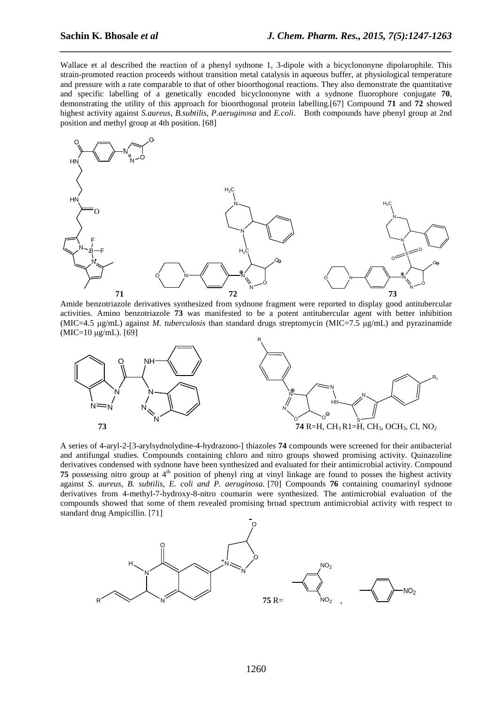Wallace et al described the reaction of a phenyl sydnone 1, 3-dipole with a bicyclononyne dipolarophile. This strain-promoted reaction proceeds without transition metal catalysis in aqueous buffer, at physiological temperature and pressure with a rate comparable to that of other bioorthogonal reactions. They also demonstrate the quantitative and specific labelling of a genetically encoded bicyclononyne with a sydnone fluorophore conjugate **70**, demonstrating the utility of this approach for bioorthogonal protein labelling.[67] Compound **71** and **72** showed highest activity against *S.aureus*, *B.subtilis*, *P.aeruginosa* and *E.coli*. Both compounds have phenyl group at 2nd position and methyl group at 4th position. [68]

*\_\_\_\_\_\_\_\_\_\_\_\_\_\_\_\_\_\_\_\_\_\_\_\_\_\_\_\_\_\_\_\_\_\_\_\_\_\_\_\_\_\_\_\_\_\_\_\_\_\_\_\_\_\_\_\_\_\_\_\_\_\_\_\_\_\_\_\_\_\_\_\_\_\_\_\_\_\_*



Amide benzotriazole derivatives synthesized from sydnone fragment were reported to display good antitubercular activities. Amino benzotriazole **73** was manifested to be a potent antitubercular agent with better inhibition (MIC=4.5 µg/mL) against *M. tuberculosis* than standard drugs streptomycin (MIC=7.5 µg/mL) and pyrazinamide  $(MIC=10 \mu g/mL)$ . [69]



A series of 4-aryl-2-[3-arylsydnolydine-4-hydrazono-] thiazoles **74** compounds were screened for their antibacterial and antifungal studies. Compounds containing chloro and nitro groups showed promising activity. Quinazoline derivatives condensed with sydnone have been synthesized and evaluated for their antimicrobial activity. Compound **75** possessing nitro group at 4<sup>th</sup> position of phenyl ring at vinyl linkage are found to posses the highest activity against *S. aureus, B. subtilis, E. coli and P. aeruginosa.* [70] Compounds **76** containing coumarinyl sydnone derivatives from 4-methyl-7-hydroxy-8-nitro coumarin were synthesized. The antimicrobial evaluation of the compounds showed that some of them revealed promising broad spectrum antimicrobial activity with respect to standard drug Ampicillin. [71]

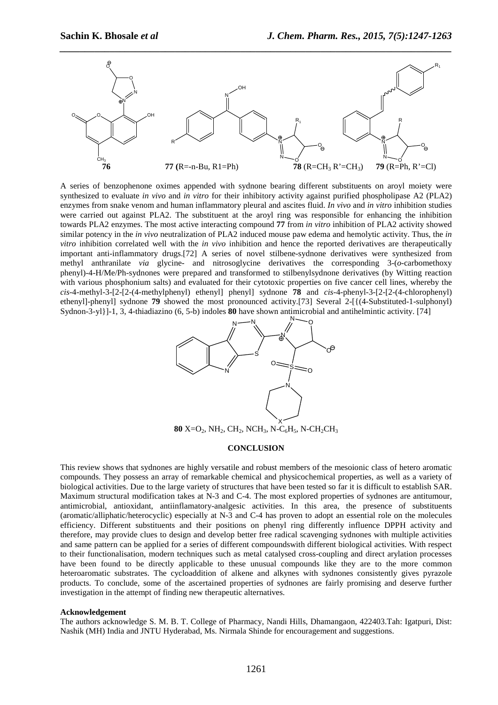

A series of benzophenone oximes appended with sydnone bearing different substituents on aroyl moiety were synthesized to evaluate *in vivo* and *in vitro* for their inhibitory activity against purified phospholipase A2 (PLA2) enzymes from snake venom and human inflammatory pleural and ascites fluid. *In vivo* and *in vitro* inhibition studies were carried out against PLA2. The substituent at the aroyl ring was responsible for enhancing the inhibition towards PLA2 enzymes. The most active interacting compound **77** from *in vitro* inhibition of PLA2 activity showed similar potency in the *in vivo* neutralization of PLA2 induced mouse paw edema and hemolytic activity. Thus, the *in vitro* inhibition correlated well with the *in vivo* inhibition and hence the reported derivatives are therapeutically important anti-inflammatory drugs.[72] A series of novel stilbene-sydnone derivatives were synthesized from methyl anthranilate *via* glycine- and nitrosoglycine derivatives the corresponding 3-(*o*-carbomethoxy phenyl)-4-H/Me/Ph-sydnones were prepared and transformed to stilbenylsydnone derivatives (by Witting reaction with various phosphonium salts) and evaluated for their cytotoxic properties on five cancer cell lines, whereby the *cis*-4-methyl-3-[2-[2-(4-methylphenyl) ethenyl] phenyl] sydnone **78** and *cis*-4-phenyl-3-[2-[2-(4-chlorophenyl) ethenyl]-phenyl] sydnone **79** showed the most pronounced activity.[73] Several 2-[{(4-Substituted-1-sulphonyl) Sydnon-3-yl}]-1, 3, 4-thiadiazino (6, 5-b) indoles **80** have shown antimicrobial and antihelmintic activity. [74]



#### **CONCLUSION**

This review shows that sydnones are highly versatile and robust members of the mesoionic class of hetero aromatic compounds. They possess an array of remarkable chemical and physicochemical properties, as well as a variety of biological activities. Due to the large variety of structures that have been tested so far it is difficult to establish SAR. Maximum structural modification takes at N-3 and C-4. The most explored properties of sydnones are antitumour, antimicrobial, antioxidant, antiinflamatory-analgesic activities. In this area, the presence of substituents (aromatic/alliphatic/heterocyclic) especially at N-3 and C-4 has proven to adopt an essential role on the molecules efficiency. Different substituents and their positions on phenyl ring differently influence DPPH activity and therefore, may provide clues to design and develop better free radical scavenging sydnones with multiple activities and same pattern can be applied for a series of different compoundswith different biological activities. With respect to their functionalisation, modern techniques such as metal catalysed cross-coupling and direct arylation processes have been found to be directly applicable to these unusual compounds like they are to the more common heteroaromatic substrates. The cycloaddition of alkene and alkynes with sydnones consistently gives pyrazole products. To conclude, some of the ascertained properties of sydnones are fairly promising and deserve further investigation in the attempt of finding new therapeutic alternatives.

## **Acknowledgement**

The authors acknowledge S. M. B. T. College of Pharmacy, Nandi Hills, Dhamangaon, 422403.Tah: Igatpuri, Dist: Nashik (MH) India and JNTU Hyderabad, Ms. Nirmala Shinde for encouragement and suggestions.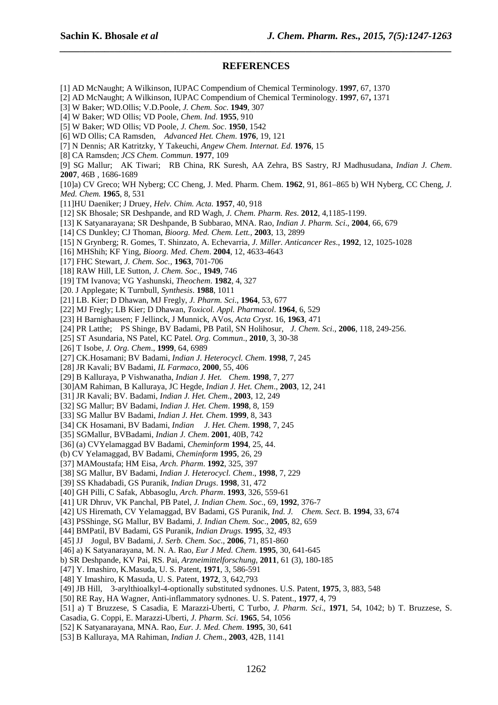# **REFERENCES**

*\_\_\_\_\_\_\_\_\_\_\_\_\_\_\_\_\_\_\_\_\_\_\_\_\_\_\_\_\_\_\_\_\_\_\_\_\_\_\_\_\_\_\_\_\_\_\_\_\_\_\_\_\_\_\_\_\_\_\_\_\_\_\_\_\_\_\_\_\_\_\_\_\_\_\_\_\_\_*

[1] AD McNaught; A Wilkinson, IUPAC Compendium of Chemical Terminology. **1997**, 67, 1370

- [2] AD McNaught; A Wilkinson, IUPAC Compendium of Chemical Terminology. **1997**, 67**,** 1371
- [3] W Baker; WD.Ollis; V.D.Poole, *J. Chem. Soc*. **1949**, 307
- [4] W Baker; WD Ollis; VD Poole, *Chem. Ind*. **1955**, 910
- [5] W Baker; WD Ollis; VD Poole*, J. Chem. Soc*. **1950**, 1542
- [6] WD Ollis; CA Ramsden, *Advanced Het. Chem*. **1976**, 19, 121
- [7] N Dennis; AR Katritzky, Y Takeuchi, *Angew Chem. Internat. Ed*. **1976**, 15
- [8] CA Ramsden; *JCS Chem. Commun*. **1977**, 109

[9] SG Mallur; AK Tiwari; RB China, RK Suresh, AA Zehra, BS Sastry, RJ Madhusudana, *Indian J. Chem*. **2007**, 46B , 1686-1689

[10]a) CV Greco; WH Nyberg; CC Cheng, J. Med. Pharm. Chem. **1962**, 91, 861–865 b) WH Nyberg, CC Cheng, *J. Med. Chem.* **1965**, 8, 531

- [11]HU Daeniker; J Druey, *Helv. Chim. Acta.* **1957**, 40, 918
- [12] SK Bhosale; SR Deshpande, and RD Wagh*, J. Chem. Pharm. Res*. **2012**, 4,1185-1199.
- [13] K Satyanarayana; SR Deshpande, B Subbarao, MNA. Rao, *Indian J. Pharm. Sci*., **2004**, 66, 679
- [14] CS Dunkley; CJ Thoman, *Bioorg. Med. Chem. Lett.,* **2003**, 13, 2899
- [15] N Grynberg; R. Gomes, T. Shinzato, A. Echevarria, *J. Miller. Anticancer Res*., **1992**, 12, 1025-1028
- [16] MHShih; KF Ying, *Bioorg. Med. Chem*. **2004**, 12, 4633-4643
- [17] FHC Stewart, *J. Chem. Soc.,* **1963**, 701-706
- [18] RAW Hill, LE Sutton, *J. Chem. Soc*., **1949**, 746
- [19] TM Ivanova; VG Yashunski, *Theochem*. **1982**, 4, 327
- [20. J Applegate; K Turnbull, *Synthesis*. **1988**, 1011
- [21] LB. Kier; D Dhawan, MJ Fregly, *J. Pharm. Sci*., **1964**, 53, 677
- [22] MJ Fregly; LB Kier; D Dhawan, *Toxicol. Appl. Pharmacol*. **1964**, 6, 529
- [23] H Barnighausen; F Jellinck, J Munnick, AVos*, Acta Cryst*. 16, **1963**, 471
- [24] PR Latthe; PS Shinge, BV Badami, PB Patil, SN Holihosur, *J. Chem. Sci*., **2006**, 118, 249-256.
- [25] ST Asundaria, NS Patel, KC Patel*. Org. Commun*., **2010**, 3, 30-38
- [26] T Isobe, *J. Org. Chem*., **1999**, 64, 6989
- [27] CK.Hosamani; BV Badami, *Indian J. Heterocycl. Chem*. **1998**, 7, 245
- [28] JR Kavali; BV Badami, *IL Farmaco*, **2000**, 55, 406
- [29] B Kalluraya, P Vishwanatha, *Indian J. Het. Chem*. **1998**, 7, 277
- [30]AM Rahiman, B Kalluraya, JC Hegde, *Indian J. Het. Chem*., **2003**, 12, 241
- [31] JR Kavali; BV. Badami, *Indian J. Het. Chem*., **2003**, 12, 249
- [32] SG Mallur; BV Badami, *Indian J. Het. Chem*. **1998**, 8, 159
- [33] SG Mallur BV Badami, *Indian J. Het. Chem*. **1999**, 8, 343
- [34] CK Hosamani, BV Badami, *Indian J. Het. Chem*. **1998**, 7, 245
- [35] SGMallur, BVBadami, *Indian J. Chem*. **2001**, 40B, 742
- [36] (a) CVYelamaggad BV Badami, *Cheminform* **1994**, 25, 44.
- (b) CV Yelamaggad, BV Badami, *Cheminform* **1995**, 26, 29
- [37] MAMoustafa; HM Eisa, *Arch. Pharm*. **1992**, 325, 397
- [38] SG Mallur, BV Badami, *Indian J. Heterocycl. Chem*., **1998**, 7, 229
- [39] SS Khadabadi, GS Puranik, *Indian Drugs*. **1998**, 31, 472
- [40] GH Pilli, C Safak, Abbasoglu, *Arch. Pharm*. **1993**, 326, 559-61
- [41] UR Dhruv, VK Panchal, PB Patel, *J. Indian Chem. Soc*., 69, **1992**, 376-7
- [42] US Hiremath, CV Yelamaggad, BV Badami, GS Puranik, *Ind. J. Chem. Sect*. B. **1994**, 33, 674
- [43] PSShinge, SG Mallur, BV Badami, *J. Indian Chem. Soc*., **2005**, 82, 659
- [44] BMPatil, BV Badami, GS Puranik, *Indian Drugs*. **1995**, 32, 493
- [45] JJ Jogul, BV Badami*, J. Serb. Chem. Soc*., **2006**, 71, 851-860
- [46] a) K Satyanarayana, M. N. A. Rao, *Eur J Med. Chem*. **1995**, 30, 641-645
- b) SR Deshpande, KV Pai, RS. Pai, *Arzneimittelforschung*, **2011**, 61 (3), 180-185
- [47] Y. Imashiro, K.Masuda, U. S. Patent, **1971**, 3, 586-591
- [48] Y Imashiro, K Masuda, U. S. Patent, **1972**, 3, 642,793
- [49] JB Hill, 3-arylthioalkyl-4-optionally substituted sydnones. U.S. Patent, **1975**, 3, 883, 548
- [50] RE Ray, HA Wagner, Anti-inflammatory sydnones. U. S. Patent., **1977**, 4, 79
- [51] a) T Bruzzese, S Casadia, E Marazzi-Uberti, C Turbo, *J. Pharm. Sci*., **1971**, 54, 1042; b) T. Bruzzese, S.
- Casadia, G. Coppi, E. Marazzi-Uberti, *J. Pharm. Sci*. **1965**, 54, 1056
- [52] K Satyanarayana, MNA. Rao, *Eur. J. Med. Chem*. **1995**, 30, 641
- [53] B Kalluraya, MA Rahiman, *Indian J. Chem*., **2003**, 42B, 1141